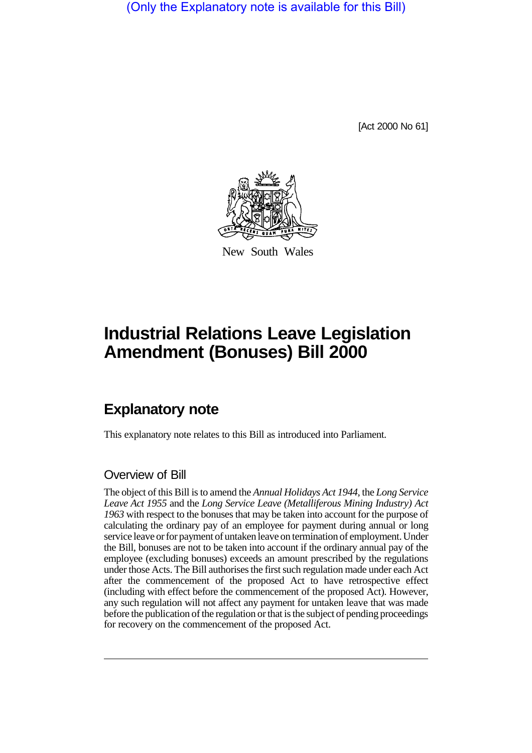(Only the Explanatory note is available for this Bill)

[Act 2000 No 61]



New South Wales

## **Industrial Relations Leave Legislation Amendment (Bonuses) Bill 2000**

## **Explanatory note**

This explanatory note relates to this Bill as introduced into Parliament.

## Overview of Bill

The object of this Bill is to amend the *Annual Holidays Act 1944*, the *Long Service Leave Act 1955* and the *Long Service Leave (Metalliferous Mining Industry) Act 1963* with respect to the bonuses that may be taken into account for the purpose of calculating the ordinary pay of an employee for payment during annual or long service leave or for payment of untaken leave on termination of employment. Under the Bill, bonuses are not to be taken into account if the ordinary annual pay of the employee (excluding bonuses) exceeds an amount prescribed by the regulations under those Acts. The Bill authorises the first such regulation made under each Act after the commencement of the proposed Act to have retrospective effect (including with effect before the commencement of the proposed Act). However, any such regulation will not affect any payment for untaken leave that was made before the publication of the regulation or that is the subject of pending proceedings for recovery on the commencement of the proposed Act.